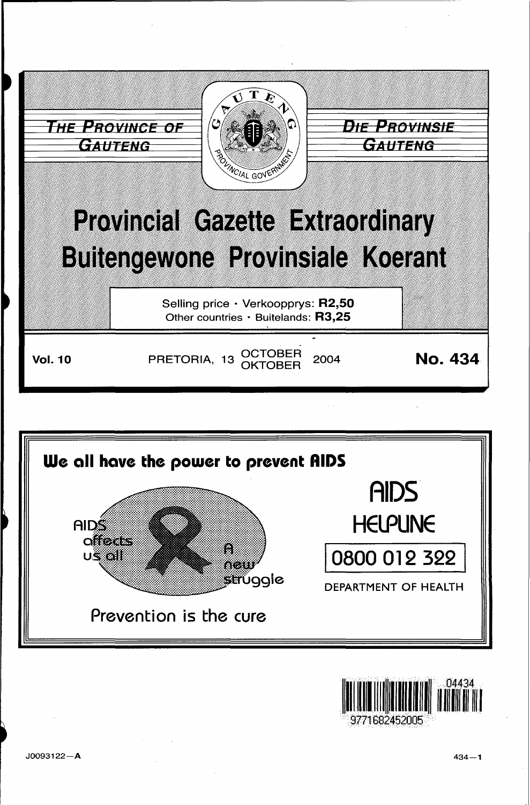



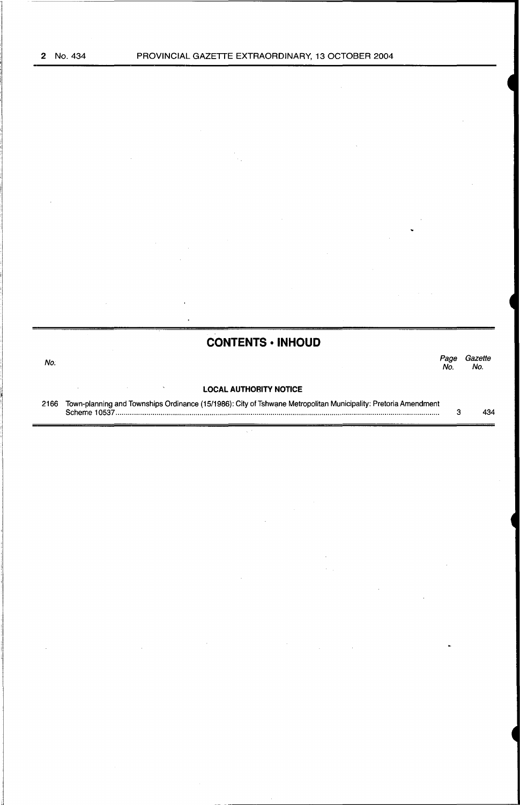## **CONTENTS • INHOUD**

No. *Page Gazette*  Page Gazet<br>No. No.

#### **LOCAL AUTHORITY NOTICE**

 $\bar{\gamma}$ 

 $\hat{\phantom{a}}$ 

2166 Town-planning and Townships Ordinance (15/1986): City of Tshwane Metropolitan Municipality: Pretoria Amendment Scheme 1 0537 .............................................................................................................................................................. . 3 434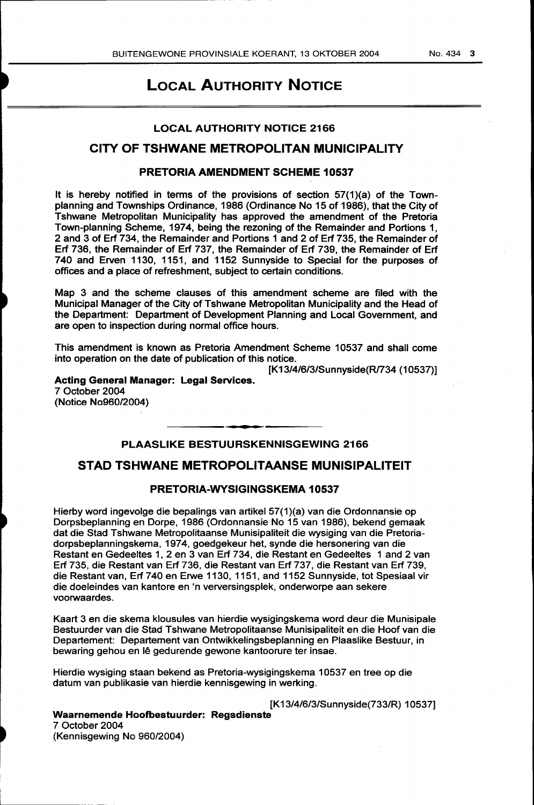# LOCAL AUTHORITY NOTICE

#### LOCAL AUTHORITY NOTICE 2166

## CITY OF TSHWANE METROPOLITAN MUNICIPALITY

#### PRETORIA AMENDMENT SCHEME 10537

It is hereby notified in terms of the provisions of section 57(1)(a) of the Townplanning and Townships Ordinance, 1986 (Ordinance No 15 of 1986), that the City of Tshwane Metropolitan Municipality has approved the amendment of the Pretoria Town-planning Scheme, 1974, being the rezoning of the Remainder and Portions 1, 2 and 3 of Erf 734, the Remainder and Portions 1 and 2 of Erf 735, the Remainder of Erf 736, the Remainder of Erf 737, the Remainder of Erf 739, the Remainder of Erf 740 and Erven 1130, 1151, and 1152 Sunnyside to Special for the purposes of offices and a place of refreshment, subject to certain conditions.

Map 3 and the scheme clauses of this amendment scheme are filed with the Municipal Manager of the City of Tshwane Metropolitan Municipality and the Head of the Department: Department of Development Planning and Local Government, and are open to inspection during normal office hours.

This amendment is known as Pretoria Amendment Scheme 10537 and shall come into operation on the date of publication of this notice.

[K13/4/6/3/Sunnyside(R/734 (10537)]

Acting General Manager: Legal Services. 7 October 2004 (Notice No960/2004)

## PLAASLIKE BESTUURSKENNISGEWING 2166

### STAD TSHWANE METROPOLITAANSE MUNISIPALITEIT

#### PRETORIA-WYSIGINGSKEMA 10537

Hierby word ingevolge die bepalings van artikel 57(1 )(a) van die Ordonnansie op Dorpsbeplanning en Dorpe, 1986 (Ordonnansie No 15 van 1986), bekend gemaak dat die Stad Tshwane Metropolitaanse Munisipaliteit die wysiging van die Pretoriadorpsbeplanningskema, 1974, goedgekeur het, synde die hersonering van die Restant en Gedeeltes 1, 2 en 3 van Erf 734, die Restant en Gedeeltes 1 and 2 van Erf 735, die Restant van Erf 736, die Restant van Erf 737, die Restant van Erf 739, die Restant van, Erf 740 en Erwe 1130, 1151, and 1152 Sunnyside, tot Spesiaal vir die doeleindes van kantore en 'n verversingsplek, onderworpe aan sekere voorwaardes.

Kaart 3 en die skema klousules van hierdie wysigingskema word deur die Munisipale Bestuurder van die Stad Tshwane Metropolitaanse Munisipaliteit en die Hoof van die Departement: Departement van Ontwikkelingsbeplanning en Plaaslike Bestuur, in bewaring gehou en lê gedurende gewone kantoorure ter insae.

Hierdie wysiging staan bekend as Pretoria-wysigingskema 10537 en tree op die datum van publikasie van hierdie kennisgewing in werking.

[K13/4/6/3/Sunnyside(733/R) 10537]

#### Waarnemende Hoofbestuurder: Regsdienste

7 October 2004 (Kennisgewing No 960/2004)